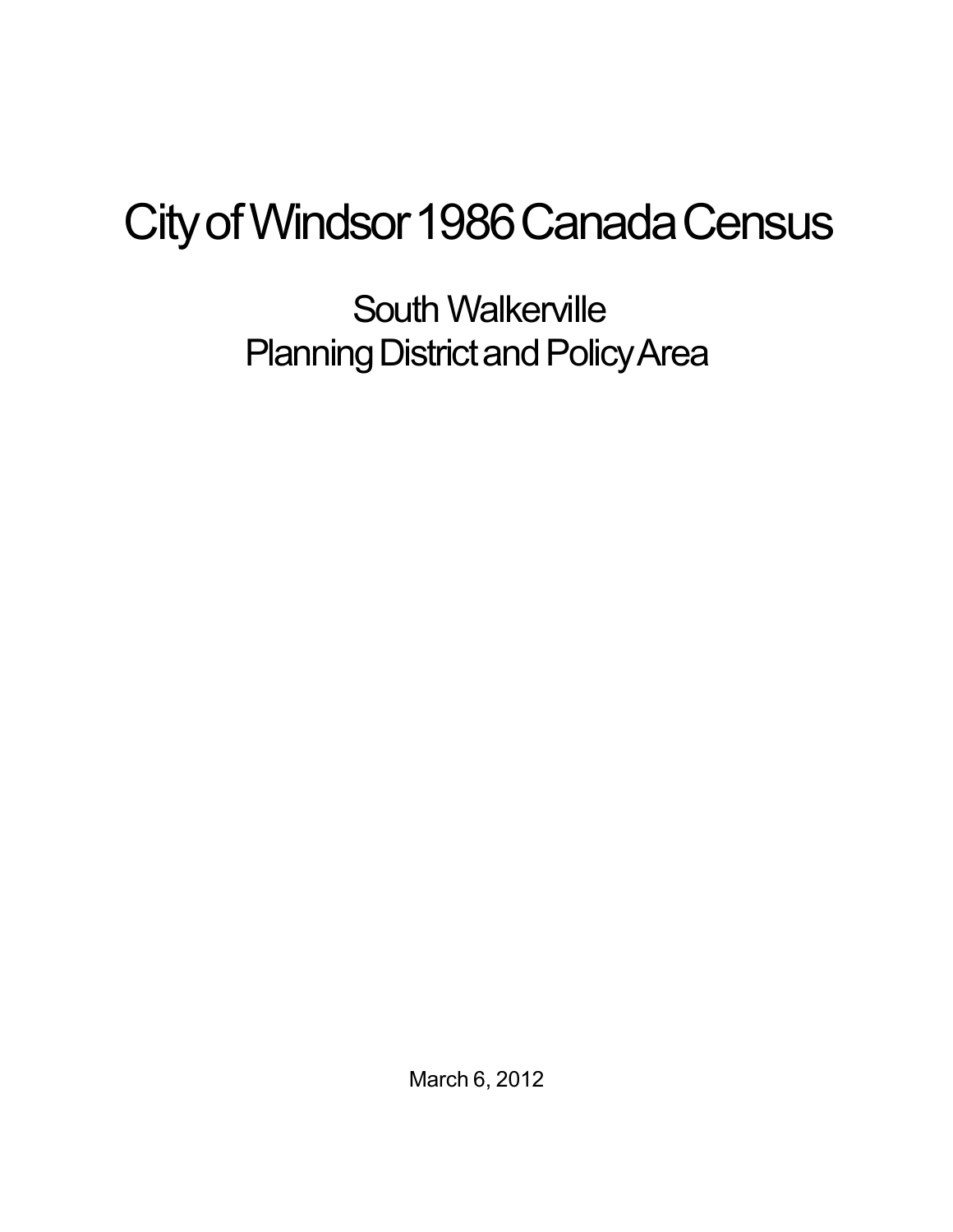## City of Windsor 1986 Canada Census

South Walkerville Planning District and Policy Area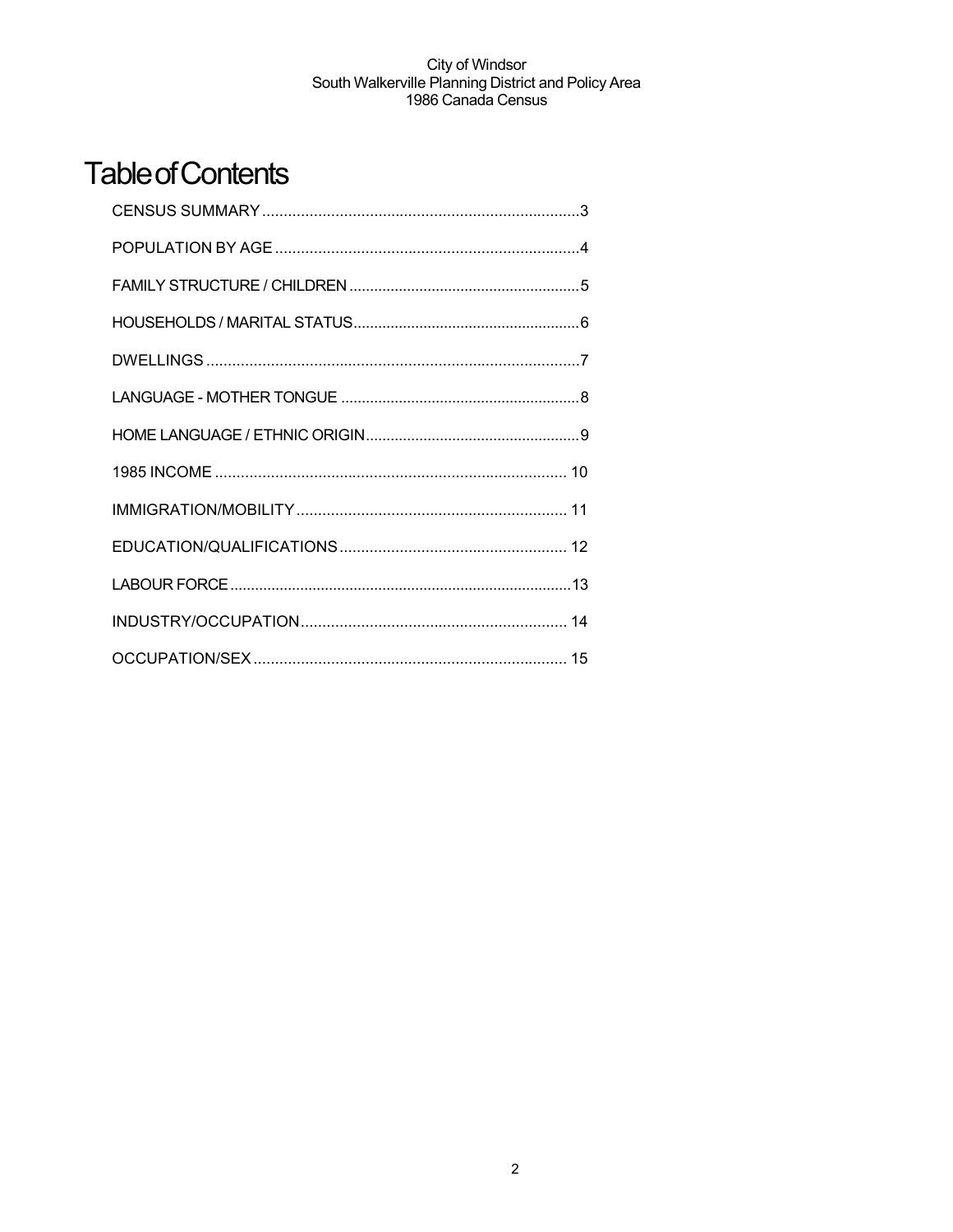## **Table of Contents**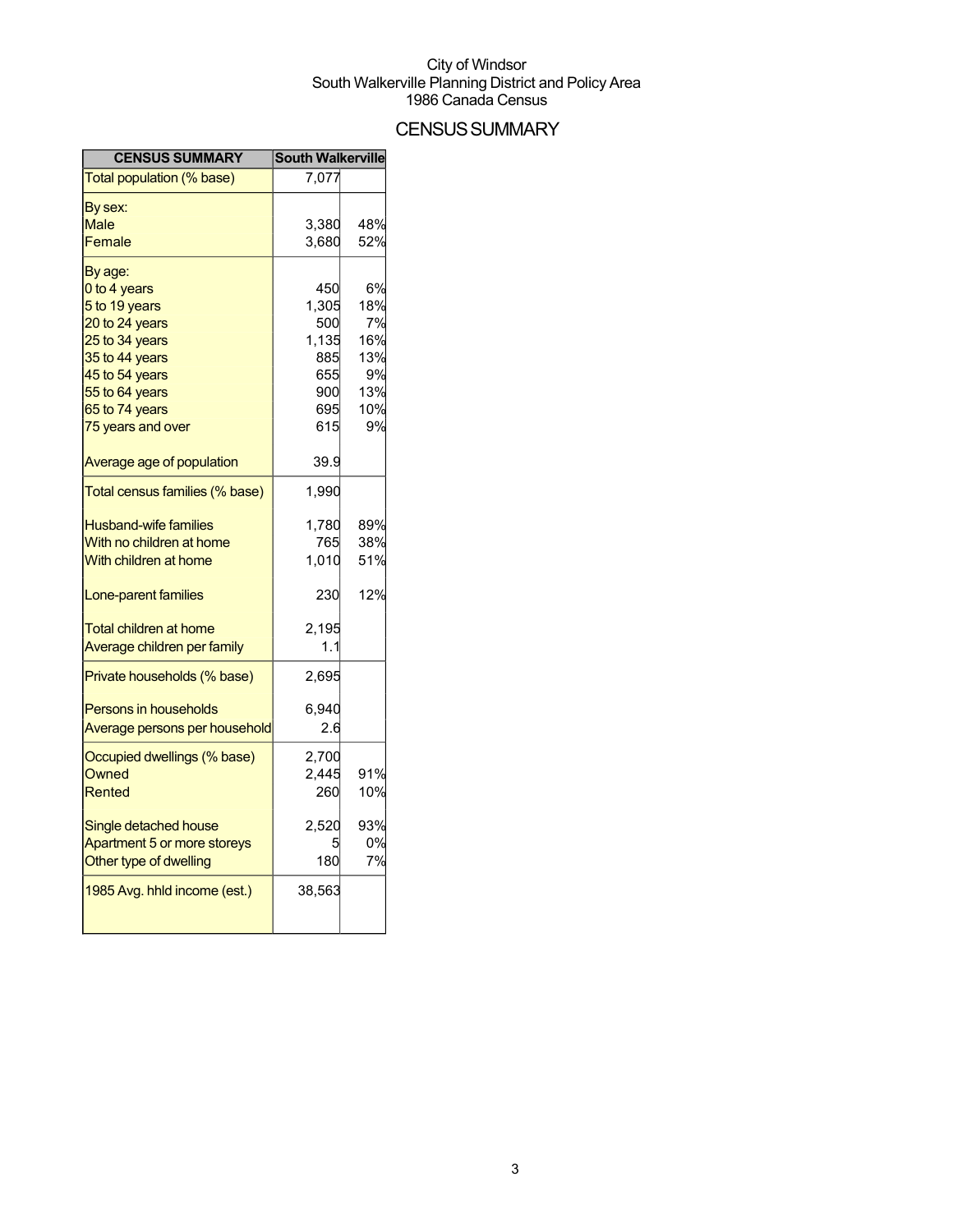## **CENSUS SUMMARY**

| <b>CENSUS SUMMARY</b>          | <b>South Walkerville</b> |     |
|--------------------------------|--------------------------|-----|
| Total population (% base)      | 7,077                    |     |
| By sex:                        |                          |     |
| Male                           | 3,380                    | 48% |
| Female                         | 3,680                    | 52% |
| By age:                        |                          |     |
| 0 to 4 years                   | 450                      | 6%  |
| 5 to 19 years                  | 1,305                    | 18% |
| 20 to 24 years                 | 500                      | 7%  |
| 25 to 34 years                 | 1,135                    | 16% |
| 35 to 44 years                 | 885                      | 13% |
| 45 to 54 years                 | 655                      | 9%  |
| 55 to 64 years                 | 900                      | 13% |
| 65 to 74 years                 | 695                      | 10% |
| 75 years and over              | 615                      | 9%  |
| Average age of population      | 39.9                     |     |
| Total census families (% base) | 1,990                    |     |
| <b>Husband-wife families</b>   | 1,780                    | 89% |
| With no children at home       | 765                      | 38% |
| With children at home          | 1,010                    | 51% |
| Lone-parent families           | 230                      | 12% |
| Total children at home         | 2,195                    |     |
| Average children per family    | 1.1                      |     |
|                                |                          |     |
| Private households (% base)    | 2,695                    |     |
| <b>Persons in households</b>   | 6,940                    |     |
| Average persons per household  | 2.6                      |     |
| Occupied dwellings (% base)    | 2,700                    |     |
| <b>Owned</b>                   | 2,445                    | 91% |
| Rented                         | 260                      | 10% |
| Single detached house          | 2,520                    | 93% |
| Apartment 5 or more storeys    |                          | 0%  |
| Other type of dwelling         | 180                      | 7%  |
| 1985 Avg. hhld income (est.)   | 38,563                   |     |
|                                |                          |     |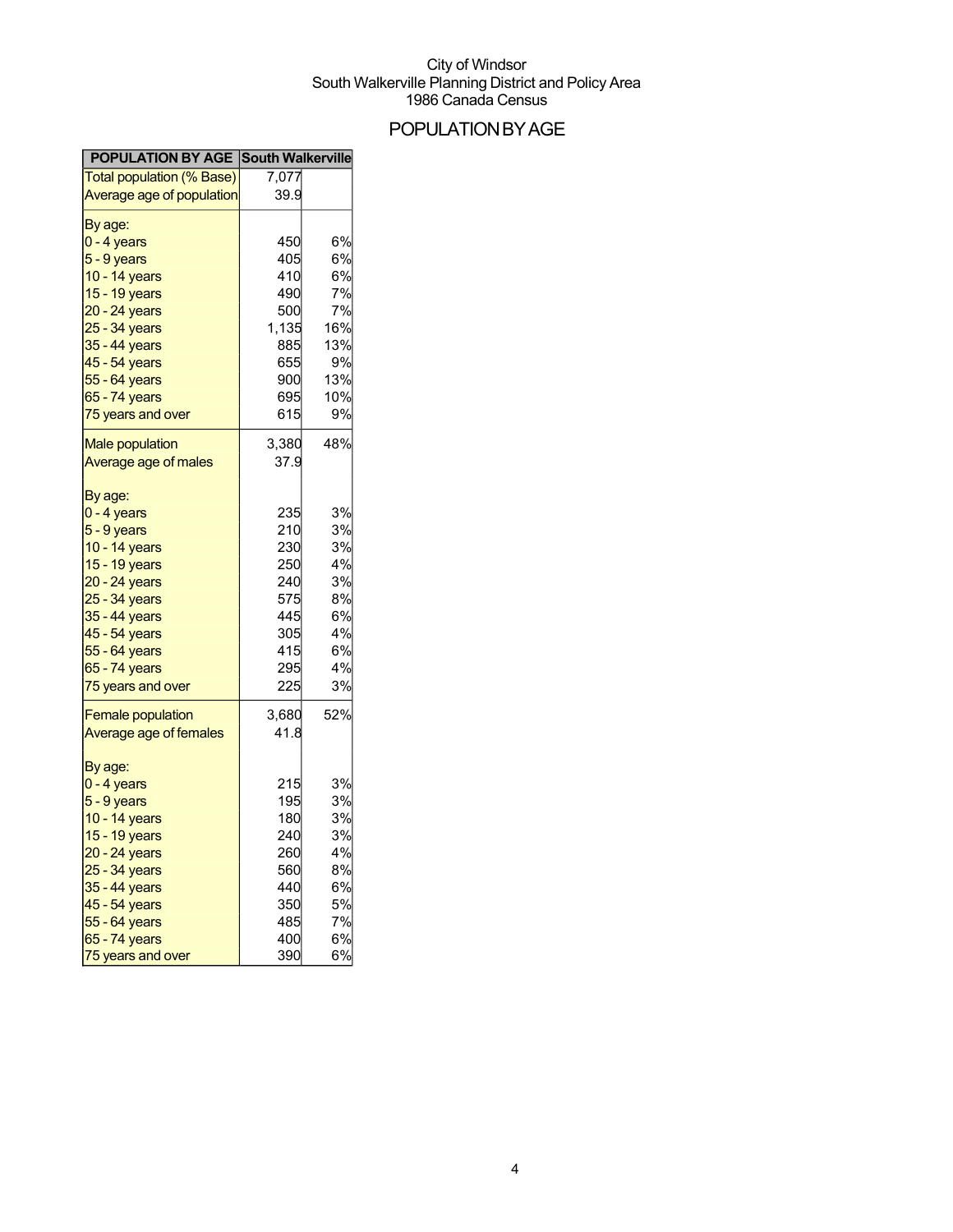## POPULATIONBYAGE

| <b>POPULATION BY AGE South Walkerville</b> |       |           |
|--------------------------------------------|-------|-----------|
| <b>Total population (% Base)</b>           | 7,077 |           |
| Average age of population                  | 39.9  |           |
| By age:                                    |       |           |
| $0 - 4$ years                              | 450   | 6%        |
| $5 - 9$ years                              | 405   | 6%        |
| 10 - 14 years                              | 410   | 6%        |
| 15 - 19 years                              | 490   | 7%        |
| 20 - 24 years                              | 500   | 7%        |
| 25 - 34 years                              | 1,135 | 16%       |
| 35 - 44 years                              | 885   | 13%       |
| 45 - 54 years                              | 655   | 9%        |
| 55 - 64 years                              | 900   | 13%       |
| $65 - 74$ years                            | 695   | 10%       |
| 75 years and over                          | 615   | 9%        |
| <b>Male population</b>                     | 3,380 | 48%       |
| Average age of males                       | 37.9  |           |
| By age:                                    |       |           |
| $0 - 4$ years                              | 235   | 3%        |
| $5 - 9$ years                              | 210   | 3%        |
| 10 - 14 years                              | 230   | 3%        |
| 15 - 19 years                              | 250   | 4%        |
| 20 - 24 years                              | 240   | 3%        |
| 25 - 34 years                              | 575   | 8%        |
| 35 - 44 years                              | 445   | 6%        |
| 45 - 54 years                              | 305   | 4%        |
| 55 - 64 years                              | 415   | 6%        |
| 65 - 74 years                              | 295   | 4%        |
| 75 years and over                          | 225   | 3%        |
| <b>Female population</b>                   | 3,680 | 52%       |
| Average age of females                     | 41.8  |           |
| By age:                                    |       |           |
| $0 - 4$ years                              | 215   | 3%        |
| 5 - 9 years                                | 195   | 3%        |
| 10 - 14 years                              | 180   | 3%        |
| 15 - 19 years                              | 240   | 3%        |
| 20 - 24 years                              | 260   | 4%        |
| 25 - 34 years                              | 560   | 8%        |
| 35 - 44 years                              | 440   | 6%        |
| 45 - 54 years                              | 350   | <b>5%</b> |
| 55 - 64 years                              | 485   | 7%        |
| 65 - 74 years                              | 400   | 6%        |
| 75 years and over                          | 390   | 6%        |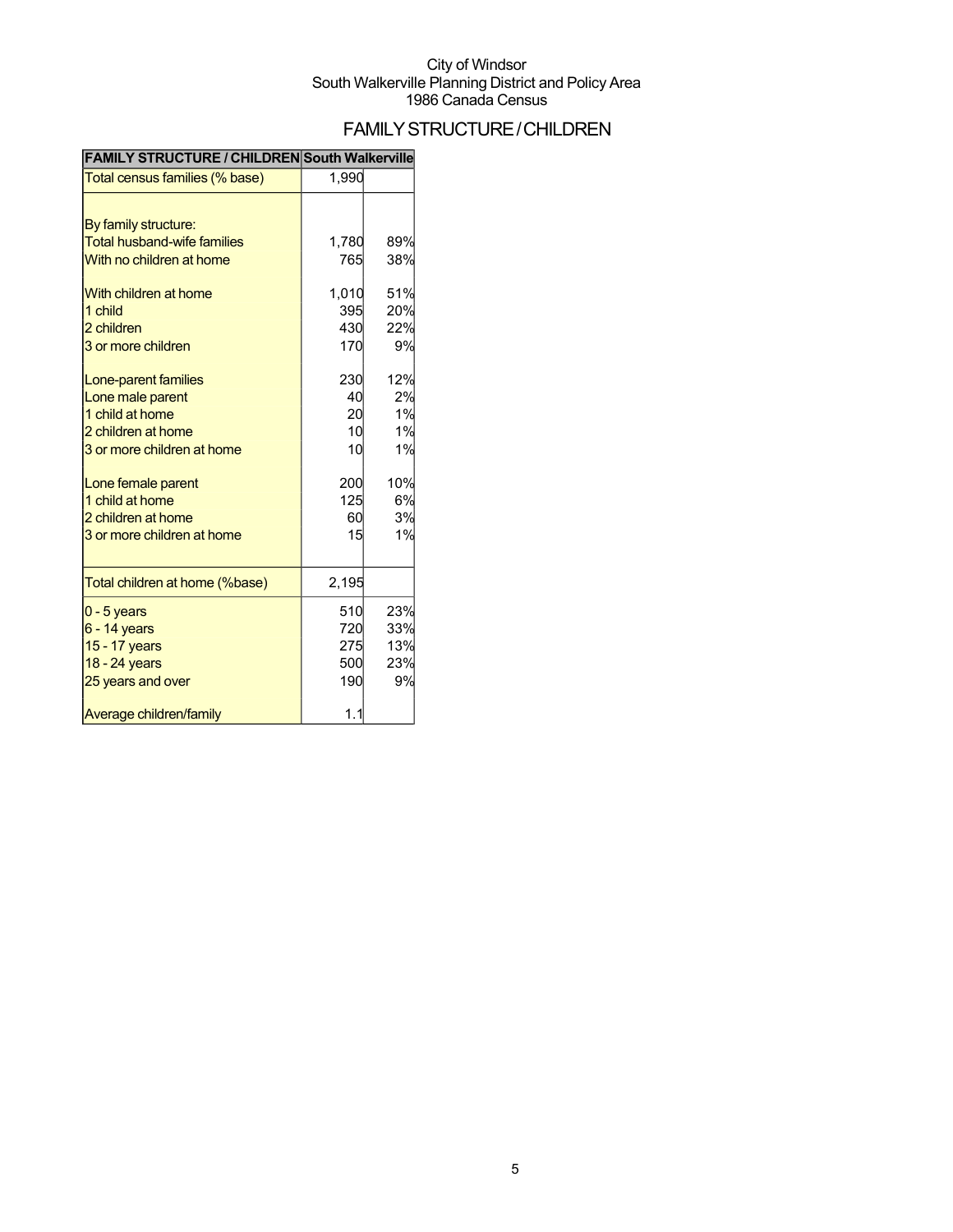## FAMILYSTRUCTURE/CHILDREN

| Total census families (% base)                                                                                    | 1,990                                  |                                |
|-------------------------------------------------------------------------------------------------------------------|----------------------------------------|--------------------------------|
| By family structure:<br><b>Total husband-wife families</b><br>With no children at home                            | 1,780<br>765                           | 89%<br>38%                     |
| With children at home<br>1 child<br>2 children<br>3 or more children                                              | 1,010<br>395<br>430<br>170             | 51%<br>20%<br>22%<br>9%        |
| Lone-parent families<br>Lone male parent<br>1 child at home<br>2 children at home<br>3 or more children at home   | 230<br>40<br>20<br>10<br>10            | 12%<br>2%<br>1%<br>1%<br>1%    |
| Lone female parent<br>1 child at home<br>2 children at home<br>3 or more children at home                         | 200<br>125<br>60<br>15                 | 10%<br>6%<br>3%<br>1%          |
| Total children at home (%base)                                                                                    | 2,195                                  |                                |
| $0 - 5$ years<br>$6 - 14$ years<br>15 - 17 years<br>18 - 24 years<br>25 years and over<br>Average children/family | 510<br>720<br>275<br>500<br>190<br>1.1 | 23%<br>33%<br>13%<br>23%<br>9% |

#### **FAMILY STRUCTURE / CHILDREN South Walkerville**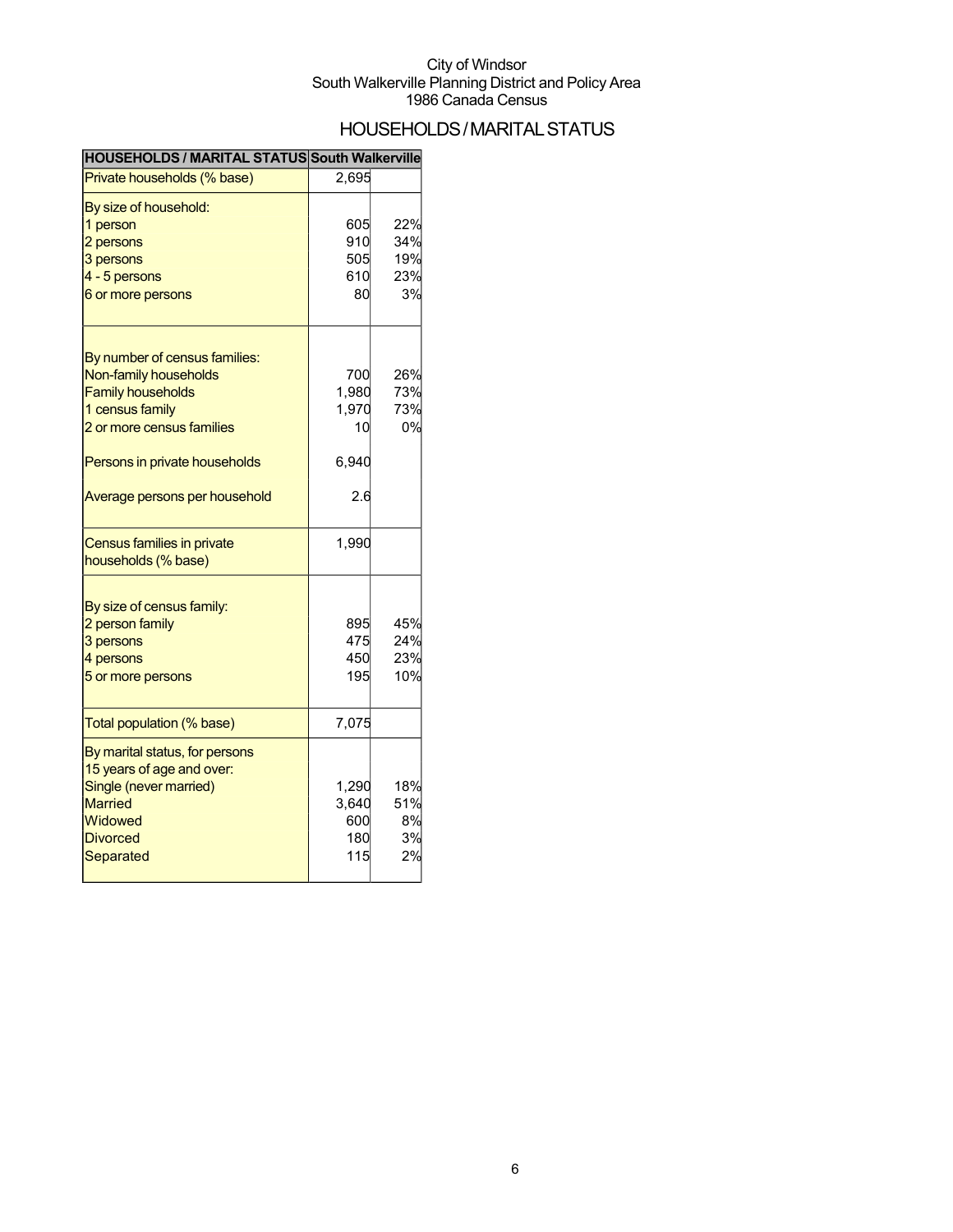## HOUSEHOLDS/MARITALSTATUS

| HOUSEHOLDS / MARITAL STATUS South Walkerville               |       |     |
|-------------------------------------------------------------|-------|-----|
| Private households (% base)                                 | 2,695 |     |
| By size of household:                                       |       |     |
| 1 person                                                    | 605   | 22% |
| 2 persons                                                   | 910   | 34% |
| 3 persons                                                   | 505   | 19% |
| 4 - 5 persons                                               | 610   | 23% |
| 6 or more persons                                           | 80    | 3%  |
| By number of census families:                               |       |     |
| Non-family households                                       | 700   | 26% |
| <b>Family households</b>                                    | 1,980 | 73% |
| 1 census family                                             | 1,970 | 73% |
| 2 or more census families                                   | 10    | 0%  |
|                                                             |       |     |
| Persons in private households                               | 6,940 |     |
| Average persons per household                               | 2.6   |     |
| Census families in private                                  | 1,990 |     |
| households (% base)                                         |       |     |
| By size of census family:                                   |       |     |
| 2 person family                                             | 895   | 45% |
| 3 persons                                                   | 475   | 24% |
| 4 persons                                                   | 450   | 23% |
| 5 or more persons                                           | 195   | 10% |
| Total population (% base)                                   | 7,075 |     |
|                                                             |       |     |
| By marital status, for persons<br>15 years of age and over: |       |     |
| Single (never married)                                      | 1,290 | 18% |
| <b>Married</b>                                              | 3,640 | 51% |
| Widowed                                                     | 600   | 8%  |
| <b>Divorced</b>                                             | 180   | 3%  |
|                                                             | 115   | 2%  |
| Separated                                                   |       |     |
|                                                             |       |     |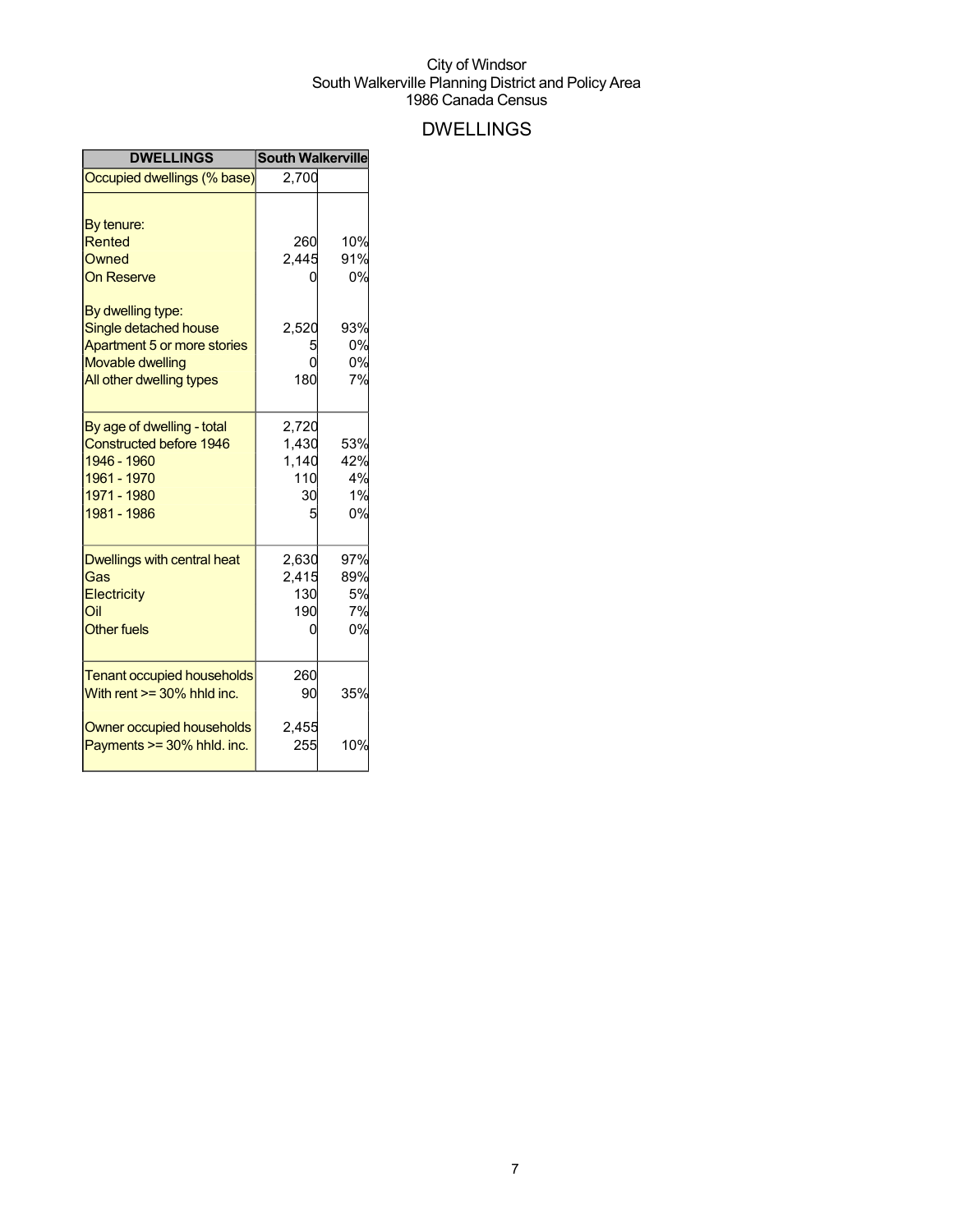## DWELLINGS

| <b>DWELLINGS</b>                                                  | <b>South Walkerville</b> |     |
|-------------------------------------------------------------------|--------------------------|-----|
| Occupied dwellings (% base)                                       | 2,700                    |     |
| By tenure:                                                        |                          |     |
| Rented                                                            | 260                      | 10% |
| Owned                                                             | 2,445                    | 91% |
| <b>On Reserve</b>                                                 |                          | 0%  |
| By dwelling type:                                                 |                          |     |
| Single detached house                                             | 2,520                    | 93% |
| Apartment 5 or more stories                                       |                          | 0%  |
| <b>Movable dwelling</b>                                           |                          | 0%  |
| All other dwelling types                                          | 180                      | 7%  |
| By age of dwelling - total                                        | 2,720                    |     |
| <b>Constructed before 1946</b>                                    | 1,430                    | 53% |
| 1946 - 1960                                                       | 1,140                    | 42% |
| 1961 - 1970                                                       | 110                      | 4%  |
| 1971 - 1980                                                       | 30                       | 1%  |
| 1981 - 1986                                                       | 5                        | 0%  |
| Dwellings with central heat                                       | 2,630                    | 97% |
| Gas                                                               | 2,415                    | 89% |
| <b>Electricity</b>                                                | 130                      | 5%  |
| Oil                                                               | 190                      | 7%  |
| <b>Other fuels</b>                                                | 0                        | 0%  |
|                                                                   |                          |     |
| <b>Tenant occupied households</b><br>With rent $>=$ 30% hhld inc. | 260<br>90                | 35% |
|                                                                   |                          |     |
| Owner occupied households<br>Payments >= 30% hhld. inc.           | 2,455<br>255             | 10% |
|                                                                   |                          |     |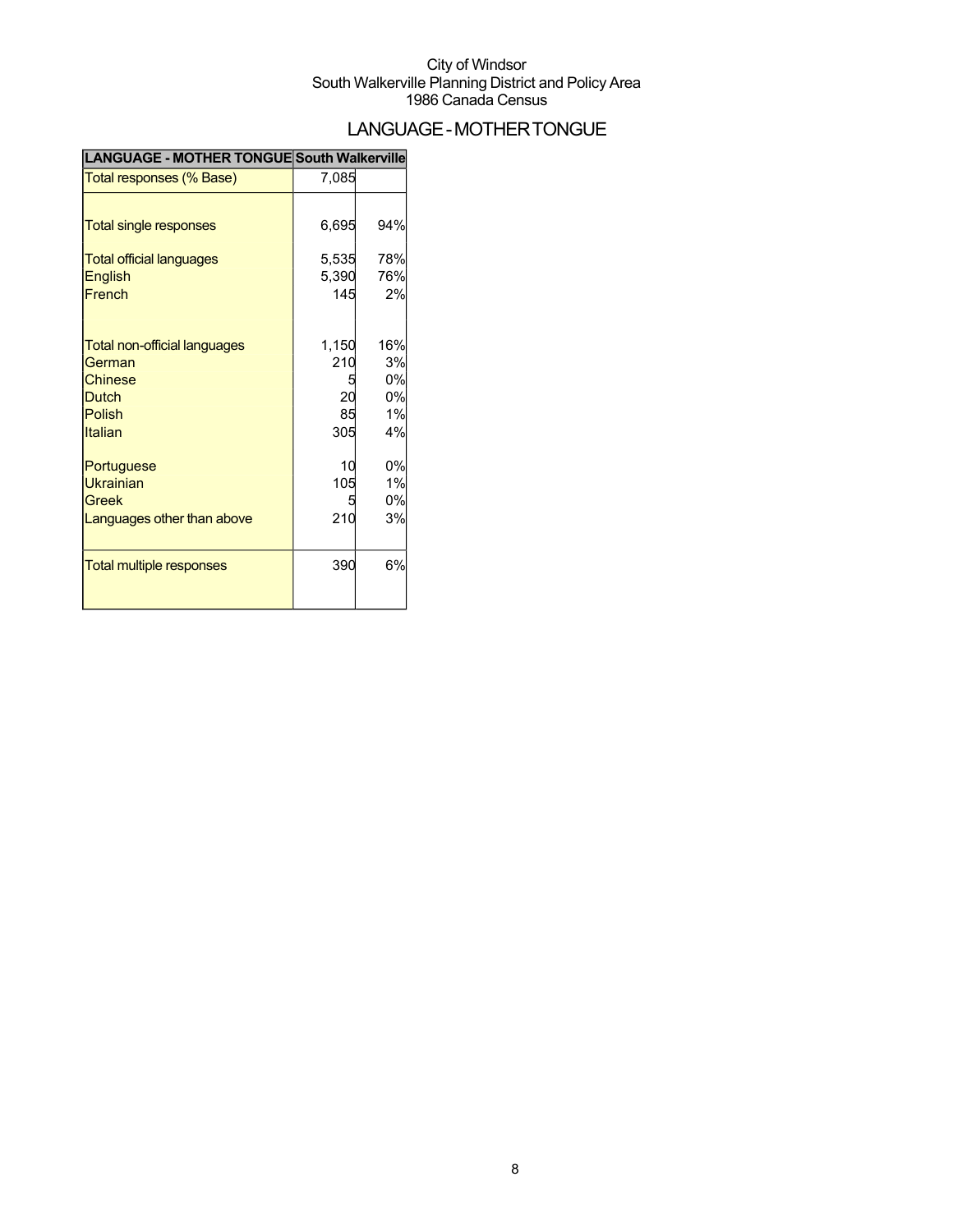## LANGUAGE-MOTHERTONGUE

| <b>LANGUAGE - MOTHER TONGUE South Walkerville</b> |       |     |
|---------------------------------------------------|-------|-----|
| Total responses (% Base)                          | 7,085 |     |
|                                                   |       |     |
| <b>Total single responses</b>                     | 6,695 | 94% |
| <b>Total official languages</b>                   | 5,535 | 78% |
| <b>English</b>                                    | 5,390 | 76% |
| French                                            | 145   | 2%  |
|                                                   | 1,150 | 16% |
| <b>Total non-official languages</b><br>German     | 210   | 3%  |
| <b>Chinese</b>                                    |       | 0%  |
| <b>Dutch</b>                                      | 20    | 0%  |
| <b>Polish</b>                                     | 85    | 1%  |
| Italian                                           | 305   | 4%  |
| Portuguese                                        | 10    | 0%  |
| <b>Ukrainian</b>                                  | 105   | 1%  |
| Greek                                             |       | 0%  |
| Languages other than above                        | 210   | 3%  |
|                                                   |       |     |
| <b>Total multiple responses</b>                   | 390   | 6%  |
|                                                   |       |     |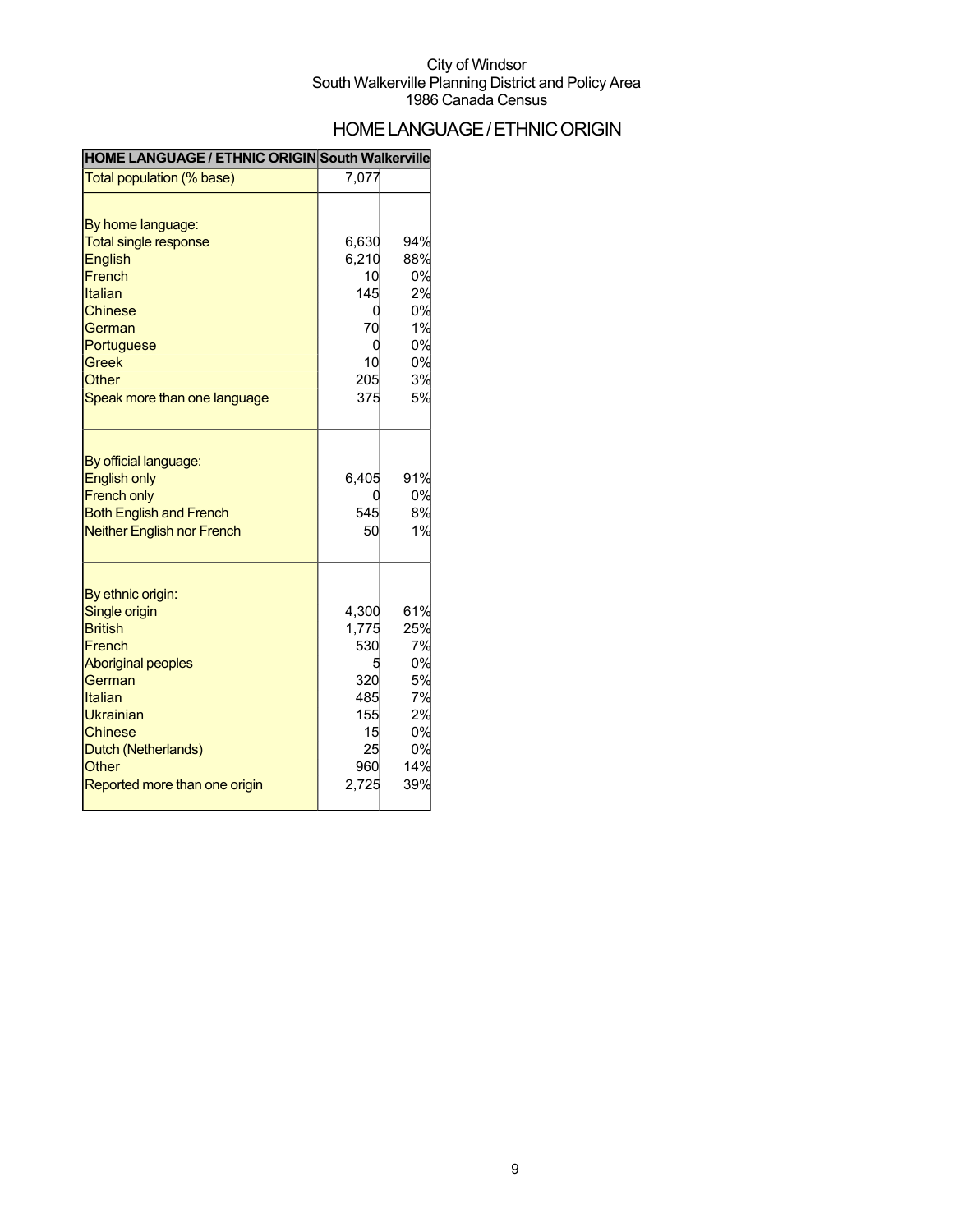## HOME LANGUAGE / ETHNIC ORIGIN

### **HOME LANGUAGE / ETHNIC ORIGIN South Walkerville**

| Total population (% base)          | 7,077 |     |
|------------------------------------|-------|-----|
|                                    |       |     |
| By home language:                  |       |     |
| <b>Total single response</b>       | 6,630 | 94% |
| <b>English</b>                     | 6,210 | 88% |
| French                             | 10    | 0%  |
| Italian                            | 145   | 2%  |
| <b>Chinese</b>                     | 0     | 0%  |
| German                             | 70    | 1%  |
| Portuguese                         | 0     | 0%  |
| <b>Greek</b>                       | 10    | 0%  |
| <b>Other</b>                       | 205   | 3%  |
| Speak more than one language       | 375   | 5%  |
| By official language:              |       |     |
| <b>English only</b>                | 6,405 | 91% |
| <b>French only</b>                 | C     | 0%  |
| <b>Both English and French</b>     | 545   | 8%  |
| <b>Neither English nor French</b>  | 50    | 1%  |
|                                    |       |     |
| By ethnic origin:<br>Single origin | 4,300 | 61% |
| <b>British</b>                     | 1,775 | 25% |
| French                             | 530   | 7%  |
| <b>Aboriginal peoples</b>          |       | 0%  |
| German                             | 320   | 5%  |
| Italian                            | 485   | 7%  |
| Ukrainian                          | 155   | 2%  |
| <b>Chinese</b>                     | 15    | 0%  |
| Dutch (Netherlands)                | 25    | 0%  |
| <b>Other</b>                       | 960   | 14% |
| Reported more than one origin      | 2,725 | 39% |
|                                    |       |     |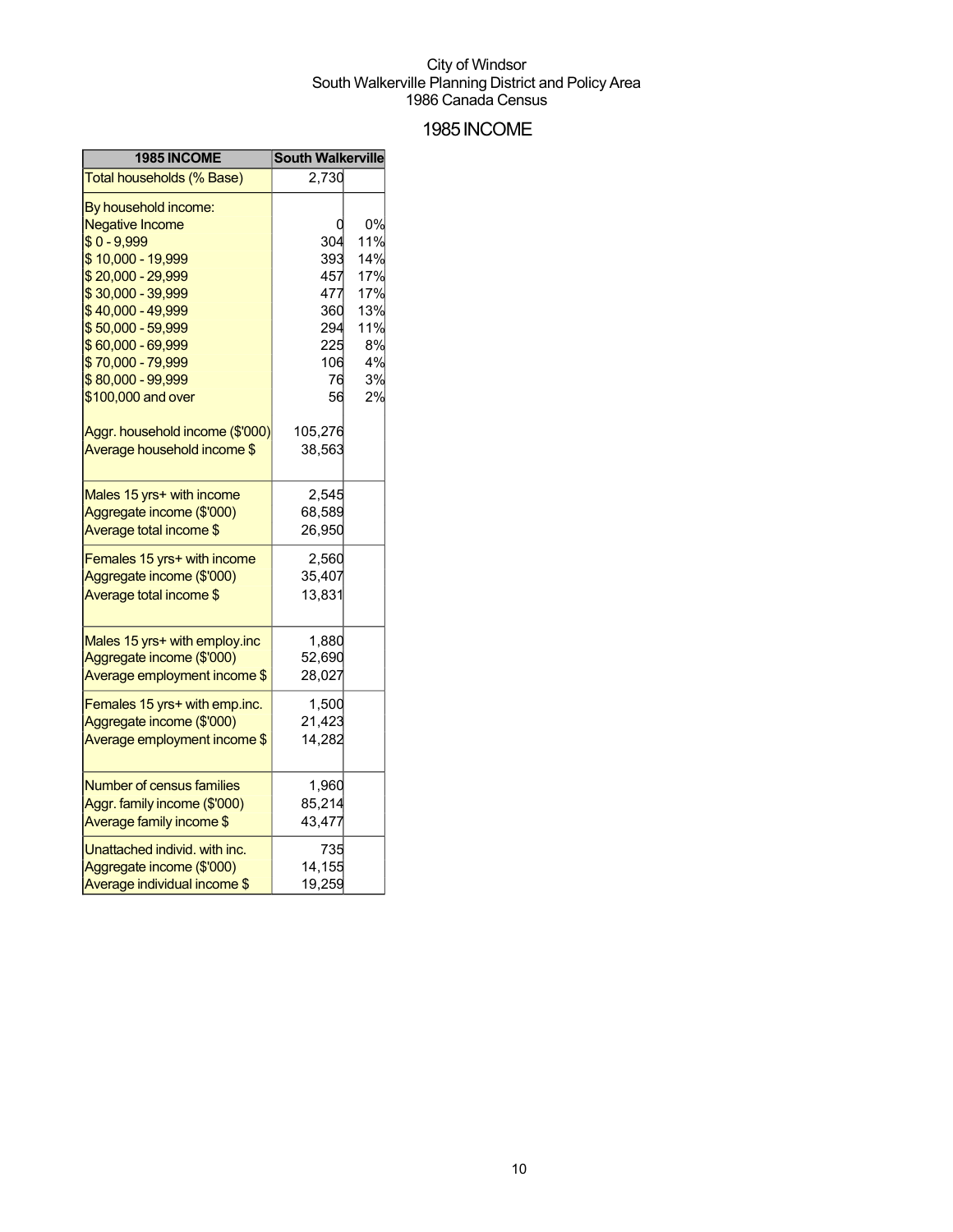### 1985INCOME

| 1985 INCOME                                                                                                                                        | <b>South Walkerville</b>        |                                       |
|----------------------------------------------------------------------------------------------------------------------------------------------------|---------------------------------|---------------------------------------|
| Total households (% Base)                                                                                                                          | 2,730                           |                                       |
| By household income:<br><b>Negative Income</b><br>$$0 - 9,999$<br>\$10,000 - 19,999<br>\$20,000 - 29,999<br>\$30,000 - 39,999<br>\$40,000 - 49,999 | 304<br>393<br>457<br>477<br>360 | 0%<br>11%<br>14%<br>17%<br>17%<br>13% |
| \$50,000 - 59,999<br>\$60,000 - 69,999<br>\$70,000 - 79,999<br>\$80,000 - 99,999<br>\$100,000 and over                                             | 294<br>225<br>106<br>76<br>56   | 11%<br>8%<br>4%<br>3%<br>2%           |
| Aggr. household income (\$'000)<br>Average household income \$                                                                                     | 105,276<br>38,563               |                                       |
| Males 15 yrs+ with income<br>Aggregate income (\$'000)<br>Average total income \$                                                                  | 2,545<br>68,589<br>26,950       |                                       |
| Females 15 yrs+ with income<br>Aggregate income (\$'000)<br>Average total income \$                                                                | 2,560<br>35,407<br>13,831       |                                       |
| Males 15 yrs+ with employ.inc<br>Aggregate income (\$'000)<br>Average employment income \$                                                         | 1,880<br>52,690<br>28,027       |                                       |
| Females 15 yrs+ with emp.inc.<br>Aggregate income (\$'000)<br>Average employment income \$                                                         | 1,500<br>21,423<br>14,282       |                                       |
| Number of census families<br>Aggr. family income (\$'000)<br>Average family income \$                                                              | 1,960<br>85,214<br>43,477       |                                       |
| Unattached individ. with inc.<br>Aggregate income (\$'000)<br>Average individual income \$                                                         | 735<br>14,155<br>19,259         |                                       |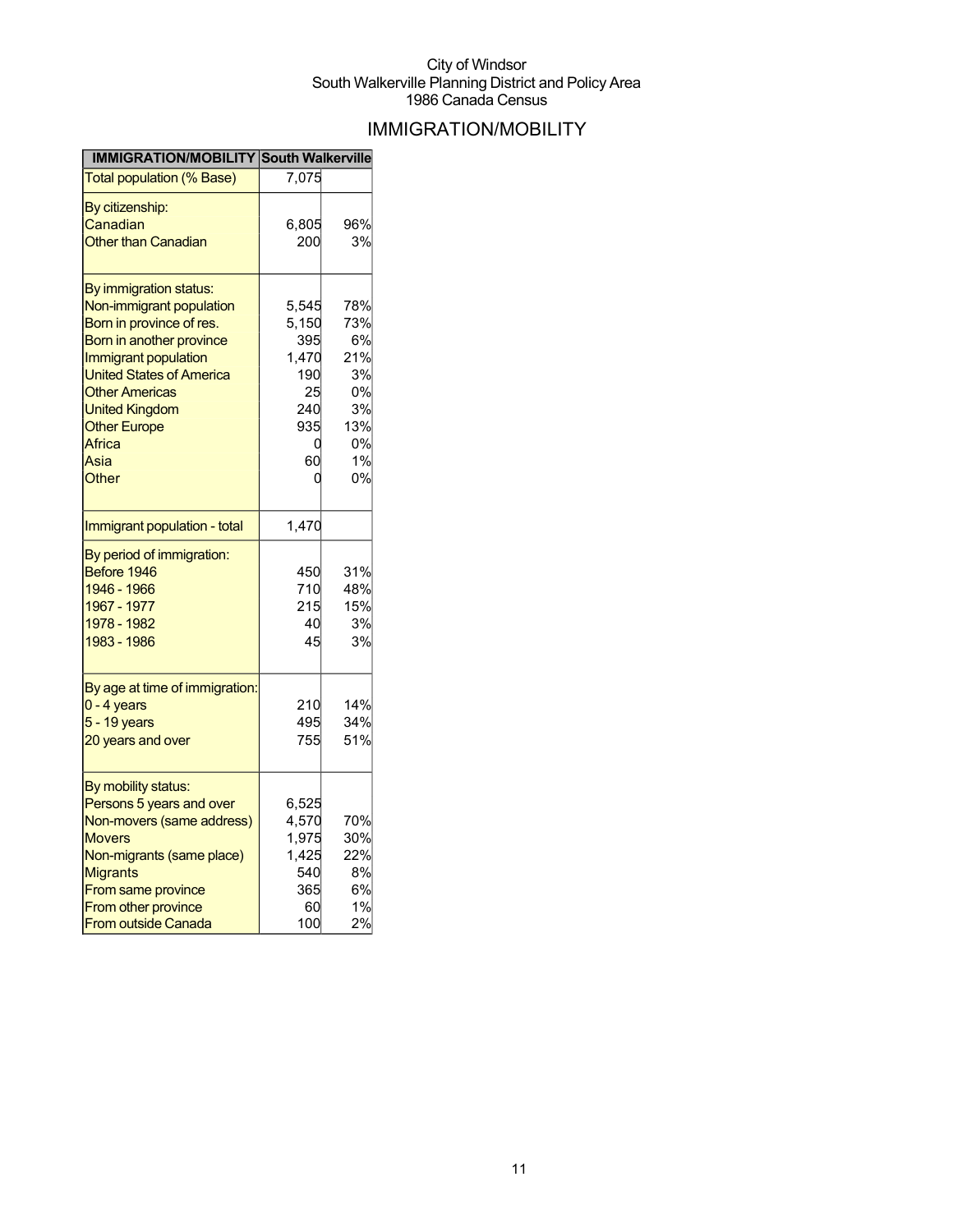## IMMIGRATION/MOBILITY

| <b>IMMIGRATION/MOBILITY South Walkerville</b>                                                        |                               |                               |
|------------------------------------------------------------------------------------------------------|-------------------------------|-------------------------------|
| <b>Total population (% Base)</b>                                                                     | 7,075                         |                               |
| By citizenship:                                                                                      |                               |                               |
| Canadian                                                                                             | 6,805                         | 96%                           |
| <b>Other than Canadian</b>                                                                           | 200                           | 3%                            |
|                                                                                                      |                               |                               |
| By immigration status:                                                                               |                               |                               |
| Non-immigrant population                                                                             | 5,545                         | 78%                           |
| Born in province of res.                                                                             | 5,150                         | 73%                           |
| Born in another province                                                                             | 395                           | 6%                            |
| Immigrant population                                                                                 | 1,470                         | 21%                           |
| <b>United States of America</b>                                                                      | 190                           | 3%                            |
| <b>Other Americas</b>                                                                                | 25                            | 0%                            |
| <b>United Kingdom</b>                                                                                | 240                           | 3%                            |
| <b>Other Europe</b>                                                                                  | 935                           | 13%                           |
| Africa                                                                                               | 0                             | 0%                            |
| Asia                                                                                                 | 60                            | 1%                            |
| Other                                                                                                |                               | 0%                            |
| Immigrant population - total                                                                         | 1,470                         |                               |
| By period of immigration:<br>Before 1946<br>1946 - 1966<br>1967 - 1977<br>1978 - 1982<br>1983 - 1986 | 450<br>710<br>215<br>40<br>45 | 31%<br>48%<br>15%<br>3%<br>3% |
| By age at time of immigration:                                                                       |                               |                               |
| $0 - 4$ years                                                                                        | 210                           | 14%                           |
| 5 - 19 years                                                                                         | 495                           | 34%                           |
| 20 years and over                                                                                    | 755                           | 51%                           |
| By mobility status:                                                                                  |                               |                               |
| Persons 5 years and over                                                                             | 6,525                         |                               |
| Non-movers (same address)                                                                            | 4,570                         | 70%                           |
| <b>Movers</b>                                                                                        | 1,975                         | 30%                           |
| Non-migrants (same place)                                                                            | 1,425                         | 22%                           |
| <b>Migrants</b>                                                                                      | 540                           | 8%                            |
| From same province                                                                                   | 365                           | 6%                            |
| From other province                                                                                  | 60                            | 1%                            |
| <b>From outside Canada</b>                                                                           | 100                           | 2%                            |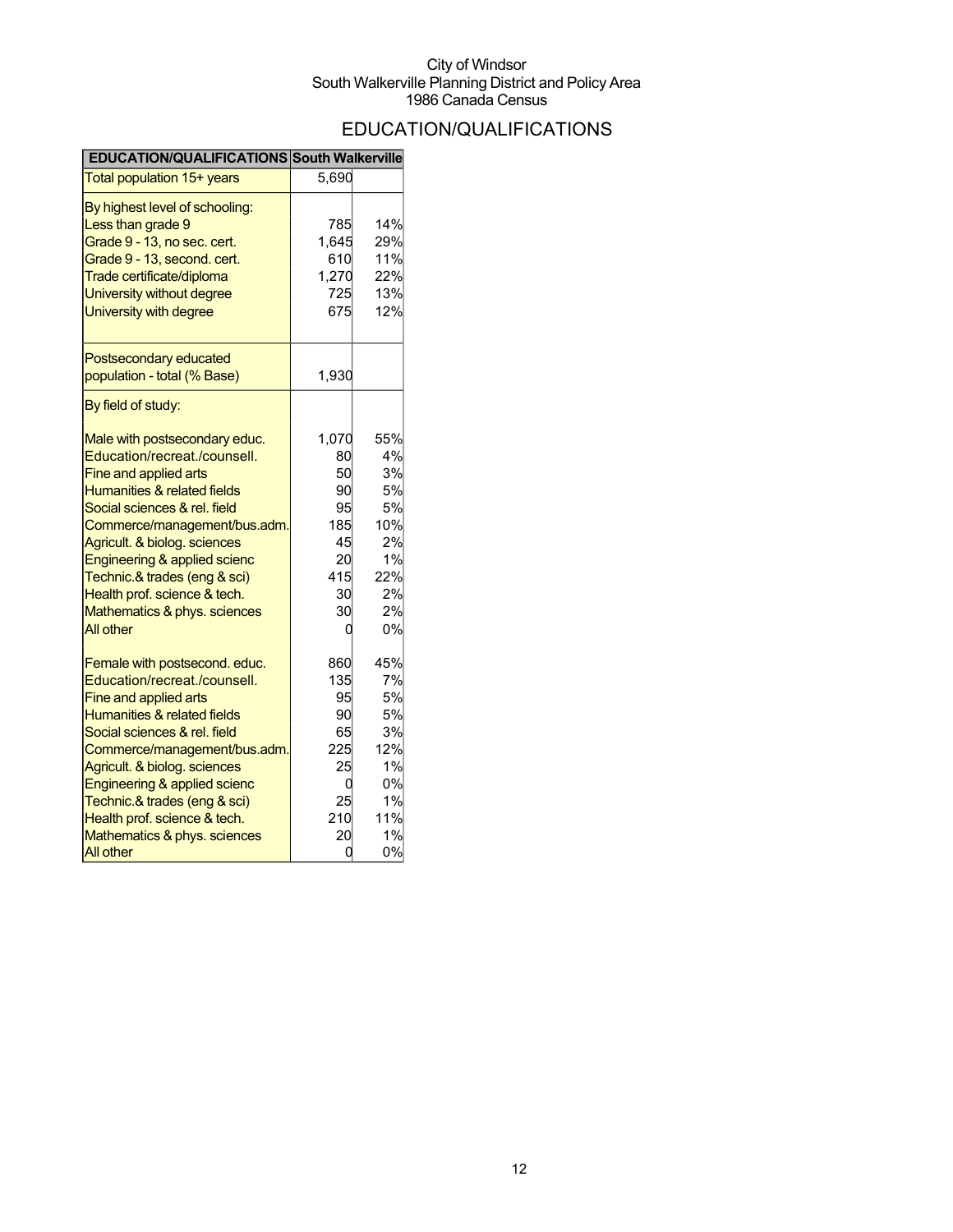## EDUCATION/QUALIFICATIONS

| EDUCATION/QUALIFICATIONS South Walkerville                                                                                                                                                                                                                                                                                                                                |                                                                        |                                                                         |
|---------------------------------------------------------------------------------------------------------------------------------------------------------------------------------------------------------------------------------------------------------------------------------------------------------------------------------------------------------------------------|------------------------------------------------------------------------|-------------------------------------------------------------------------|
| Total population 15+ years                                                                                                                                                                                                                                                                                                                                                | 5,690                                                                  |                                                                         |
| By highest level of schooling:<br>Less than grade 9<br>Grade 9 - 13, no sec. cert.<br>Grade 9 - 13, second. cert.<br>Trade certificate/diploma<br>University without degree<br>University with degree                                                                                                                                                                     | 785<br>1,645<br>610<br>1,270<br>725<br>675                             | 14%<br>29%<br>11%<br>22%<br>13%<br>12%                                  |
| Postsecondary educated<br>population - total (% Base)                                                                                                                                                                                                                                                                                                                     | 1,930                                                                  |                                                                         |
| By field of study:<br>Male with postsecondary educ.<br>Education/recreat./counsell.<br>Fine and applied arts<br>Humanities & related fields<br>Social sciences & rel. field<br>Commerce/management/bus.adm.<br>Agricult. & biolog. sciences<br>Engineering & applied scienc                                                                                               | 1,070<br>80<br>50<br>90<br>95<br>185<br>45<br>20                       | 55%<br>4%<br>3%<br>5%<br>5%<br>10%<br>2%<br>1%                          |
| Technic.& trades (eng & sci)<br>Health prof. science & tech.<br>Mathematics & phys. sciences<br><b>All other</b>                                                                                                                                                                                                                                                          | 415<br>30<br>30<br>0                                                   | 22%<br>2%<br>2%<br>0%                                                   |
| Female with postsecond. educ.<br>Education/recreat./counsell.<br>Fine and applied arts<br>Humanities & related fields<br>Social sciences & rel. field<br>Commerce/management/bus.adm.<br>Agricult. & biolog. sciences<br>Engineering & applied scienc<br>Technic.& trades (eng & sci)<br>Health prof. science & tech.<br>Mathematics & phys. sciences<br><b>All other</b> | 860<br>135<br>95<br>90<br>65<br>225<br>25<br>0<br>25<br>210<br>20<br>0 | 45%<br>7%<br>5%<br>5%<br>3%<br>12%<br>1%<br>0%<br>1%<br>11%<br>1%<br>0% |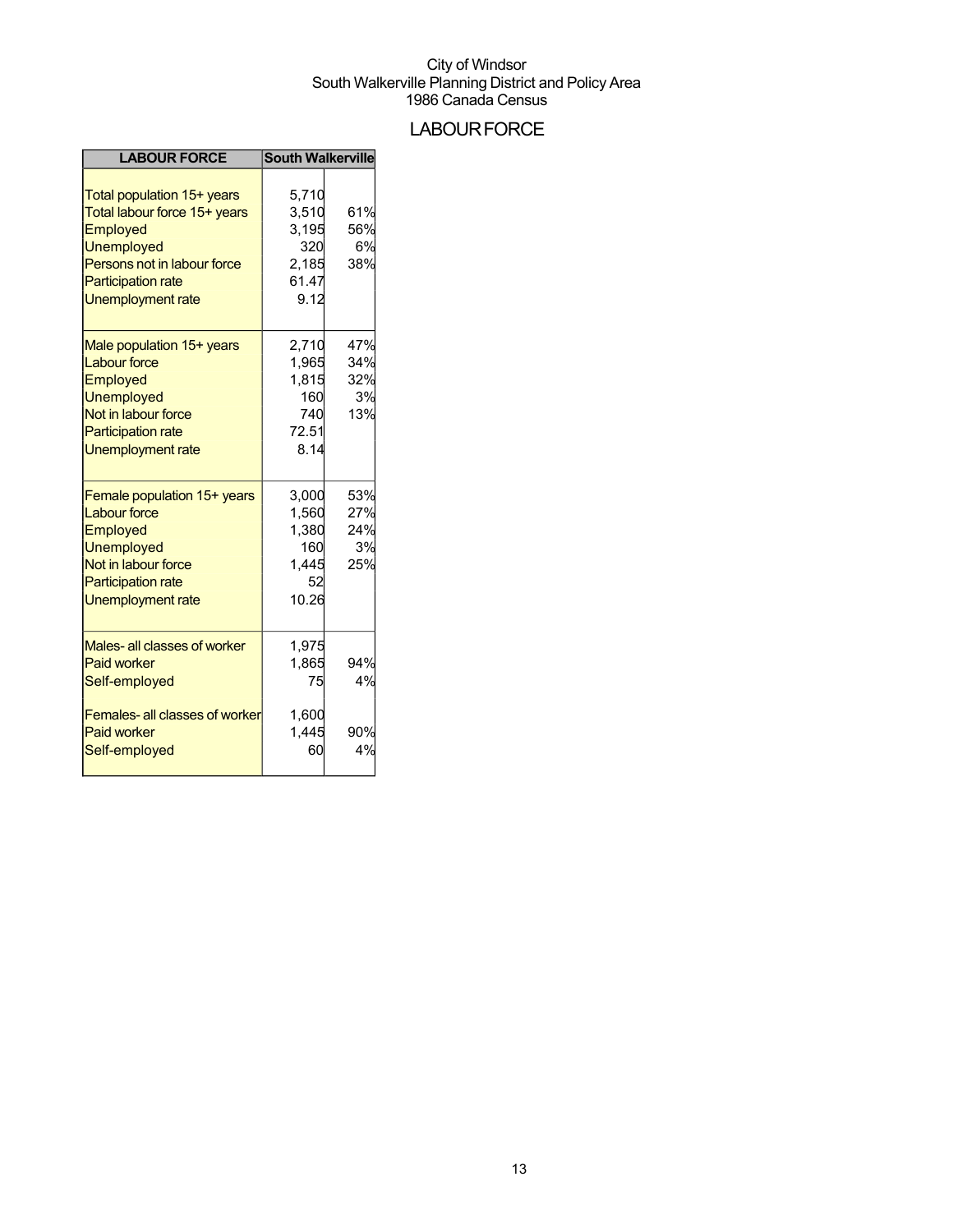## **LABOUR FORCE**

| <b>LABOUR FORCE</b>                                                                                                                                                                 | <b>South Walkerville</b>                                 |                                |
|-------------------------------------------------------------------------------------------------------------------------------------------------------------------------------------|----------------------------------------------------------|--------------------------------|
| Total population 15+ years<br>Total labour force 15+ years<br>Employed<br><b>Unemployed</b><br>Persons not in labour force<br><b>Participation rate</b><br><b>Unemployment rate</b> | 5.710<br>3,510<br>3,195<br>320<br>2,185<br>61.47<br>9.12 | 61%<br>56%<br>6%<br>38%        |
| Male population 15+ years<br><b>Labour force</b><br>Employed<br><b>Unemployed</b><br>Not in labour force<br><b>Participation rate</b><br><b>Unemployment rate</b>                   | 2,710<br>1,965<br>1,815<br>160<br>740<br>72.51<br>8.14   | 47%<br>34%<br>32%<br>3%<br>13% |
| Female population 15+ years<br><b>Labour force</b><br>Employed<br><b>Unemployed</b><br>Not in labour force<br><b>Participation rate</b><br>Unemployment rate                        | 3,000<br>1,560<br>1,380<br>160<br>1,445<br>52<br>10.26   | 53%<br>27%<br>24%<br>3%<br>25% |
| Males- all classes of worker<br><b>Paid worker</b><br>Self-employed                                                                                                                 | 1,975<br>1,865<br>75                                     | 94%<br>4%                      |
| Females- all classes of worker<br><b>Paid worker</b><br>Self-employed                                                                                                               | 1,600<br>1,445<br>60                                     | 90%<br>4%                      |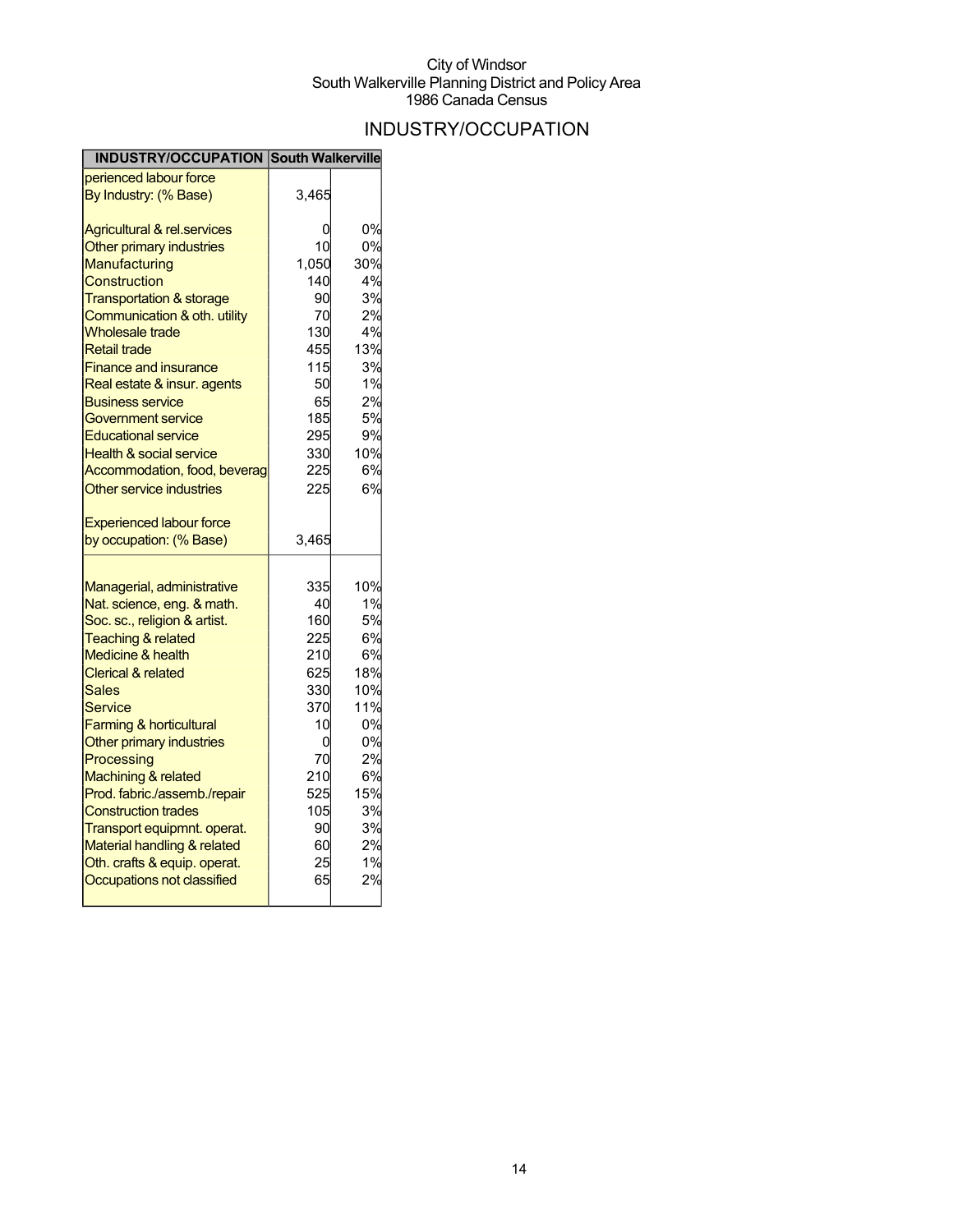## INDUSTRY/OCCUPATION

| <b>INDUSTRY/OCCUPATION South Walkerville</b>             |           |     |
|----------------------------------------------------------|-----------|-----|
| perienced labour force                                   |           |     |
| By Industry: (% Base)                                    | 3,465     |     |
| <b>Agricultural &amp; rel.services</b>                   | 0         | 0%  |
| Other primary industries                                 | 10        | 0%  |
| Manufacturing                                            | 1,050     | 30% |
| Construction                                             | 140       | 4%  |
| <b>Transportation &amp; storage</b>                      | 90        | 3%  |
| Communication & oth. utility                             | 70        | 2%  |
| <b>Wholesale trade</b>                                   | 130       | 4%  |
| <b>Retail trade</b>                                      | 455       | 13% |
| <b>Finance and insurance</b>                             | 115       | 3%  |
| Real estate & insur. agents                              | 50        | 1%  |
| <u>Business service</u>                                  | 65        | 2%  |
| Government service                                       | 185       | 5%  |
| <b>Educational service</b>                               | 295       | 9%  |
| <b>Health &amp; social service</b>                       | 330       | 10% |
| Accommodation, food, beverag                             | 225       | 6%  |
| Other service industries                                 | 225       | 6%  |
| <b>Experienced labour force</b>                          |           |     |
| by occupation: (% Base)                                  | 3,465     |     |
|                                                          |           | 10% |
| Managerial, administrative<br>Nat. science, eng. & math. | 335<br>40 | 1%  |
| Soc. sc., religion & artist.                             | 160       | 5%  |
| <b>Teaching &amp; related</b>                            | 225       | 6%  |
| <b>Medicine &amp; health</b>                             | 210       | 6%  |
| <b>Clerical &amp; related</b>                            | 625       | 18% |
| Sales                                                    | 330       | 10% |
| Service                                                  | 370l      | 11% |
| <b>Farming &amp; horticultural</b>                       | 10        | 0%  |
| Other primary industries                                 | 0         | 0%  |
| Processing                                               | 70        | 2%  |
| Machining & related                                      | 210       | 6%  |
| Prod. fabric./assemb./repair                             | 525       | 15% |
| <b>Construction trades</b>                               | 105       | 3%  |
| Transport equipmnt. operat.                              | 90        | 3%  |
| Material handling & related                              | 60        | 2%  |
|                                                          |           |     |
| Oth. crafts & equip. operat.                             | 25        | 1%  |
| Occupations not classified                               | 65        | 2%  |